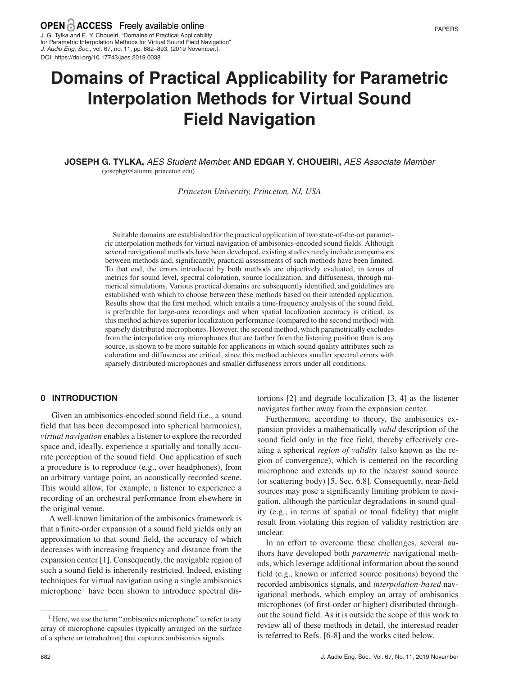J. G. Tylka and E. Y. Choueiri, "Domains of Practical Applicability for Parametric Interpolation Methods for Virtual Sound Field Navigation" *J. Audio Eng. Soc.*, vol. 67, no. 11, pp. 882–893, (2019 November.). DOI: https://doi.org/10.17743/jaes.2019.0038

# **Domains of Practical Applicability for Parametric Interpolation Methods for Virtual Sound Field Navigation**

**JOSEPH G. TYLKA,** *AES Student Member,* **AND EDGAR Y. CHOUEIRI,** *AES Associate Member* (josephgt@alumni.princeton.edu)

*Princeton University, Princeton, NJ, USA*

Suitable domains are established for the practical application of two state-of-the-art parametric interpolation methods for virtual navigation of ambisonics-encoded sound fields. Although several navigational methods have been developed, existing studies rarely include comparisons between methods and, significantly, practical assessments of such methods have been limited. To that end, the errors introduced by both methods are objectively evaluated, in terms of metrics for sound level, spectral coloration, source localization, and diffuseness, through numerical simulations. Various practical domains are subsequently identified, and guidelines are established with which to choose between these methods based on their intended application. Results show that the first method, which entails a time-frequency analysis of the sound field, is preferable for large-area recordings and when spatial localization accuracy is critical, as this method achieves superior localization performance (compared to the second method) with sparsely distributed microphones. However, the second method, which parametrically excludes from the interpolation any microphones that are farther from the listening position than is any source, is shown to be more suitable for applications in which sound quality attributes such as coloration and diffuseness are critical, since this method achieves smaller spectral errors with sparsely distributed microphones and smaller diffuseness errors under all conditions.

# **0 INTRODUCTION**

Given an ambisonics-encoded sound field (i.e., a sound field that has been decomposed into spherical harmonics), *virtual navigation* enables a listener to explore the recorded space and, ideally, experience a spatially and tonally accurate perception of the sound field. One application of such a procedure is to reproduce (e.g., over headphones), from an arbitrary vantage point, an acoustically recorded scene. This would allow, for example, a listener to experience a recording of an orchestral performance from elsewhere in the original venue.

A well-known limitation of the ambisonics framework is that a finite-order expansion of a sound field yields only an approximation to that sound field, the accuracy of which decreases with increasing frequency and distance from the expansion center [1]. Consequently, the navigable region of such a sound field is inherently restricted. Indeed, existing techniques for virtual navigation using a single ambisonics microphone<sup>1</sup> have been shown to introduce spectral distortions [2] and degrade localization [3, 4] as the listener navigates farther away from the expansion center.

Furthermore, according to theory, the ambisonics expansion provides a mathematically *valid* description of the sound field only in the free field, thereby effectively creating a spherical *region of validity* (also known as the region of convergence), which is centered on the recording microphone and extends up to the nearest sound source (or scattering body) [5, Sec. 6.8]. Consequently, near-field sources may pose a significantly limiting problem to navigation, although the particular degradations in sound quality (e.g., in terms of spatial or tonal fidelity) that might result from violating this region of validity restriction are unclear.

In an effort to overcome these challenges, several authors have developed both *parametric* navigational methods, which leverage additional information about the sound field (e.g., known or inferred source positions) beyond the recorded ambisonics signals, and *interpolation-based* navigational methods, which employ an array of ambisonics microphones (of first-order or higher) distributed throughout the sound field. As it is outside the scope of this work to review all of these methods in detail, the interested reader is referred to Refs. [6–8] and the works cited below.

 $<sup>1</sup>$  Here, we use the term "ambisonics microphone" to refer to any</sup> array of microphone capsules (typically arranged on the surface of a sphere or tetrahedron) that captures ambisonics signals.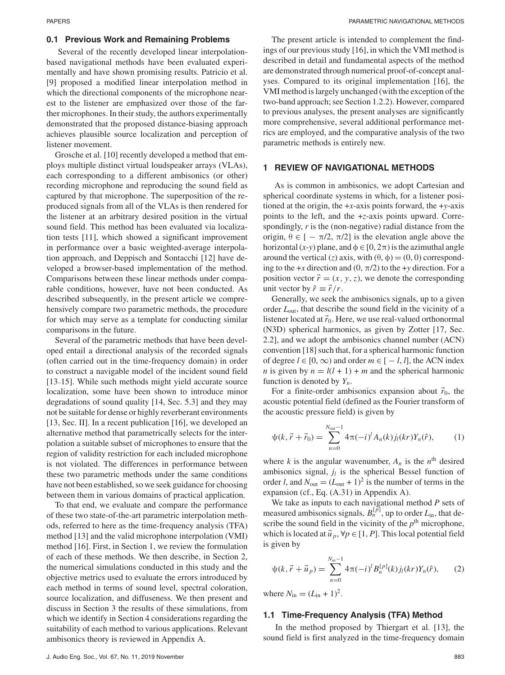#### **0.1 Previous Work and Remaining Problems**

Several of the recently developed linear interpolationbased navigational methods have been evaluated experimentally and have shown promising results. Patricio et al. [9] proposed a modified linear interpolation method in which the directional components of the microphone nearest to the listener are emphasized over those of the farther microphones. In their study, the authors experimentally demonstrated that the proposed distance-biasing approach achieves plausible source localization and perception of listener movement.

Grosche et al. [10] recently developed a method that employs multiple distinct virtual loudspeaker arrays (VLAs), each corresponding to a different ambisonics (or other) recording microphone and reproducing the sound field as captured by that microphone. The superposition of the reproduced signals from all of the VLAs is then rendered for the listener at an arbitrary desired position in the virtual sound field. This method has been evaluated via localization tests [11], which showed a significant improvement in performance over a basic weighted-average interpolation approach, and Deppisch and Sontacchi [12] have developed a browser-based implementation of the method. Comparisons between these linear methods under comparable conditions, however, have not been conducted. As described subsequently, in the present article we comprehensively compare two parametric methods, the procedure for which may serve as a template for conducting similar comparisons in the future.

Several of the parametric methods that have been developed entail a directional analysis of the recorded signals (often carried out in the time-frequency domain) in order to construct a navigable model of the incident sound field [13–15]. While such methods might yield accurate source localization, some have been shown to introduce minor degradations of sound quality [14, Sec. 5.3] and they may not be suitable for dense or highly reverberant environments [13, Sec. II]. In a recent publication [16], we developed an alternative method that parametrically selects for the interpolation a suitable subset of microphones to ensure that the region of validity restriction for each included microphone is not violated. The differences in performance between these two parametric methods under the same conditions have not been established, so we seek guidance for choosing between them in various domains of practical application.

To that end, we evaluate and compare the performance of these two state-of-the-art parametric interpolation methods, referred to here as the time-frequency analysis (TFA) method [13] and the valid microphone interpolation (VMI) method [16]. First, in Section 1, we review the formulation of each of these methods. We then describe, in Section 2, the numerical simulations conducted in this study and the objective metrics used to evaluate the errors introduced by each method in terms of sound level, spectral coloration, source localization, and diffuseness. We then present and discuss in Section 3 the results of these simulations, from which we identify in Section 4 considerations regarding the suitability of each method to various applications. Relevant ambisonics theory is reviewed in Appendix A.

The present article is intended to complement the findings of our previous study [16], in which the VMI method is described in detail and fundamental aspects of the method are demonstrated through numerical proof-of-concept analyses. Compared to its original implementation [16], the VMI method is largely unchanged (with the exception of the two-band approach; see Section 1.2.2). However, compared to previous analyses, the present analyses are significantly more comprehensive, several additional performance metrics are employed, and the comparative analysis of the two parametric methods is entirely new.

#### **1 REVIEW OF NAVIGATIONAL METHODS**

As is common in ambisonics, we adopt Cartesian and spherical coordinate systems in which, for a listener positioned at the origin, the +*x*-axis points forward, the +*y*-axis points to the left, and the +*z*-axis points upward. Correspondingly, *r* is the (non-negative) radial distance from the origin,  $\theta \in [-\pi/2, \pi/2]$  is the elevation angle above the horizontal  $(x-y)$  plane, and  $\phi \in [0, 2\pi)$  is the azimuthal angle around the vertical (*z*) axis, with  $(\theta, \phi) = (0, 0)$  corresponding to the  $+x$  direction and  $(0, \pi/2)$  to the  $+y$  direction. For a position vector  $\vec{r} = (x, y, z)$ , we denote the corresponding unit vector by  $\hat{r} \equiv \vec{r}/r$ .

Generally, we seek the ambisonics signals, up to a given order *L*out, that describe the sound field in the vicinity of a listener located at  $\vec{r}_0$ . Here, we use real-valued orthonormal (N3D) spherical harmonics, as given by Zotter [17, Sec. 2.2], and we adopt the ambisonics channel number (ACN) convention [18] such that, for a spherical harmonic function of degree  $l \in [0, \infty)$  and order  $m \in [$  − *l*, *l*], the ACN index *n* is given by  $n = l(l + 1) + m$  and the spherical harmonic function is denoted by *Yn*.

For a finite-order ambisonics expansion about  $\vec{r}_0$ , the acoustic potential field (defined as the Fourier transform of the acoustic pressure field) is given by

$$
\psi(k, \vec{r} + \vec{r}_0) = \sum_{n=0}^{N_{\text{out}}-1} 4\pi (-i)^l A_n(k) j_l(kr) Y_n(\hat{r}), \qquad (1)
$$

where *k* is the angular wavenumber,  $A_n$  is the  $n^{\text{th}}$  desired ambisonics signal, *jl* is the spherical Bessel function of order *l*, and  $N_{\text{out}} = (L_{\text{out}} + 1)^2$  is the number of terms in the expansion (cf., Eq. (A.31) in Appendix A).

We take as inputs to each navigational method *P* sets of measured ambisonics signals,  $B_n^{[\overline{p}]}$ , up to order  $L_{\text{in}}$ , that describe the sound field in the vicinity of the  $p<sup>th</sup>$  microphone, which is located at  $\vec{u}_p$ ,  $\forall p \in [1, P]$ . This local potential field is given by

$$
\psi(k, \vec{r} + \vec{u}_p) = \sum_{n=0}^{N_{\text{in}}-1} 4\pi(-i)^l B_n^{[p]}(k) j_l(kr) Y_n(\hat{r}), \qquad (2)
$$

where  $N_{\text{in}} = (L_{\text{in}} + 1)^2$ .

#### **1.1 Time-Frequency Analysis (TFA) Method**

In the method proposed by Thiergart et al. [13], the sound field is first analyzed in the time-frequency domain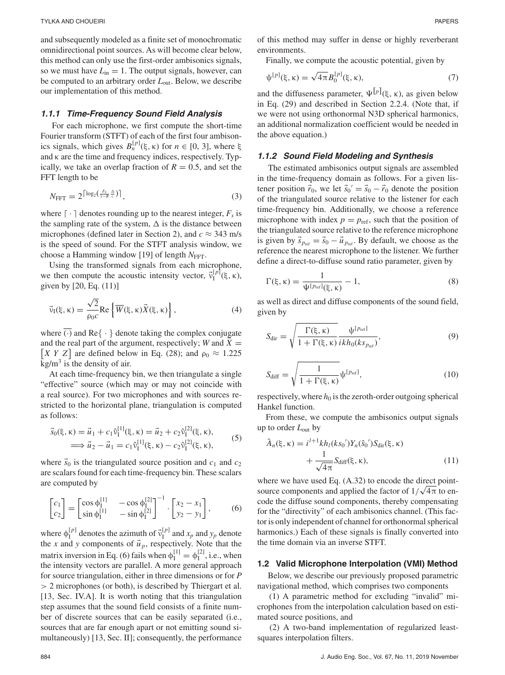and subsequently modeled as a finite set of monochromatic omnidirectional point sources. As will become clear below, this method can only use the first-order ambisonics signals, so we must have  $L_{\text{in}} = 1$ . The output signals, however, can be computed to an arbitrary order *L*out. Below, we describe our implementation of this method.

## *1.1.1 Time-Frequency Sound Field Analysis*

For each microphone, we first compute the short-time Fourier transform (STFT) of each of the first four ambisonics signals, which gives  $B_n^{[p]}(\xi, \kappa)$  for *n* ∈ [0, 3], where ξ and κ are the time and frequency indices, respectively. Typically, we take an overlap fraction of  $R = 0.5$ , and set the FFT length to be

$$
N_{\text{FFT}} = 2^{\lceil \log_2 \left( \frac{F_s}{1 - R} \frac{\Delta}{c} \right) \rceil},\tag{3}
$$

where  $\lceil \cdot \rceil$  denotes rounding up to the nearest integer,  $F_s$  is the sampling rate of the system,  $\Delta$  is the distance between microphones (defined later in Section 2), and  $c \approx 343$  m/s is the speed of sound. For the STFT analysis window, we choose a Hamming window [19] of length  $N<sub>FFT</sub>$ .

Using the transformed signals from each microphone, we then compute the acoustic intensity vector,  $\vec{v}_I^{[p]}(\xi, \kappa)$ , given by [20, Eq. (11)]

$$
\vec{v}_{I}(\xi,\kappa) = \frac{\sqrt{2}}{\rho_0 c} \text{Re}\left\{ \overline{W}(\xi,\kappa) \vec{X}(\xi,\kappa) \right\},\tag{4}
$$

where  $\overline{(\cdot)}$  and Re $\{\cdot\}$  denote taking the complex conjugate and the real part of the argument, respectively; *W* and  $\overline{X}$  = and the real part of the argument, respectively; *W* and *X* =  $[X Y Z]$  are defined below in Eq. (28); and  $\rho_0 \approx 1.225$  $kg/m<sup>3</sup>$  is the density of air.

At each time-frequency bin, we then triangulate a single "effective" source (which may or may not coincide with a real source). For two microphones and with sources restricted to the horizontal plane, triangulation is computed as follows:

$$
\vec{s}_0(\xi, \kappa) = \vec{u}_1 + c_1 \hat{v}_1^{[1]}(\xi, \kappa) = \vec{u}_2 + c_2 \hat{v}_1^{[2]}(\xi, \kappa), \n\implies \vec{u}_2 - \vec{u}_1 = c_1 \hat{v}_1^{[1]}(\xi, \kappa) - c_2 \hat{v}_1^{[2]}(\xi, \kappa),
$$
\n(5)

where  $\vec{s}_0$  is the triangulated source position and  $c_1$  and  $c_2$ are scalars found for each time-frequency bin. These scalars are computed by

$$
\begin{bmatrix} c_1 \\ c_2 \end{bmatrix} = \begin{bmatrix} \cos \phi_1^{[1]} & -\cos \phi_1^{[2]} \\ \sin \phi_1^{[1]} & -\sin \phi_1^{[2]} \end{bmatrix}^{-1} \cdot \begin{bmatrix} x_2 - x_1 \\ y_2 - y_1 \end{bmatrix},\tag{6}
$$

where  $\phi_I^{[p]}$  denotes the azimuth of  $\vec{v}_I^{[p]}$  and  $x_p$  and  $y_p$  denote the *x* and *y* components of  $\vec{u}_p$ , respectively. Note that the matrix inversion in Eq. (6) fails when  $\phi_I^{[1]} = \phi_I^{[2]}$ , i.e., when the intensity vectors are parallel. A more general approach for source triangulation, either in three dimensions or for *P* > 2 microphones (or both), is described by Thiergart et al. [13, Sec. IV.A]. It is worth noting that this triangulation step assumes that the sound field consists of a finite number of discrete sources that can be easily separated (i.e., sources that are far enough apart or not emitting sound simultaneously) [13, Sec. II]; consequently, the performance of this method may suffer in dense or highly reverberant environments.

Finally, we compute the acoustic potential, given by

$$
\psi^{[p]}(\xi,\kappa) = \sqrt{4\pi} B_0^{[p]}(\xi,\kappa),\tag{7}
$$

and the diffuseness parameter,  $\Psi^{[p]}(\xi, \kappa)$ , as given below in Eq. (29) and described in Section 2.2.4. (Note that, if we were not using orthonormal N3D spherical harmonics, an additional normalization coefficient would be needed in the above equation.)

## *1.1.2 Sound Field Modeling and Synthesis*

The estimated ambisonics output signals are assembled in the time-frequency domain as follows. For a given listener position  $\vec{r}_0$ , we let  $\vec{s}_0' = \vec{s}_0 - \vec{r}_0$  denote the position of the triangulated source relative to the listener for each time-frequency bin. Additionally, we choose a reference microphone with index  $p = p_{ref}$ , such that the position of the triangulated source relative to the reference microphone is given by  $\vec{s}_{p_{ref}} = \vec{s}_0 - \vec{u}_{p_{ref}}$ . By default, we choose as the reference the nearest microphone to the listener. We further define a direct-to-diffuse sound ratio parameter, given by

$$
\Gamma(\xi,\kappa) = \frac{1}{\Psi^{[p_{\text{ref}}]}(\xi,\kappa)} - 1,\tag{8}
$$

as well as direct and diffuse components of the sound field, given by

$$
S_{\text{dir}} = \sqrt{\frac{\Gamma(\xi, \kappa)}{1 + \Gamma(\xi, \kappa)}} \frac{\psi^{[p_{\text{ref}}]}}{ikh_0(ks_{p_{\text{ref}}})},
$$
(9)

$$
S_{\text{diff}} = \sqrt{\frac{1}{1 + \Gamma(\xi, \kappa)}} \Psi^{[p_{\text{ref}}]},\tag{10}
$$

respectively, where  $h_0$  is the zeroth-order outgoing spherical Hankel function.

From these, we compute the ambisonics output signals up to order *L*out by

$$
\tilde{A}_n(\xi, \kappa) = i^{l+1} k h_l(k s_0') Y_n(\hat{s}_0') S_{\text{dir}}(\xi, \kappa) \n+ \frac{1}{\sqrt{4\pi}} S_{\text{diff}}(\xi, \kappa),
$$
\n(11)

where we have used Eq.  $(A.32)$  to encode the direct pointsource components and applied the factor of  $1/\sqrt{4\pi}$  to encode the diffuse sound components, thereby compensating for the "directivity" of each ambisonics channel. (This factor is only independent of channel for orthonormal spherical harmonics.) Each of these signals is finally converted into the time domain via an inverse STFT.

#### **1.2 Valid Microphone Interpolation (VMI) Method**

Below, we describe our previously proposed parametric navigational method, which comprises two components

(1) A parametric method for excluding "invalid" microphones from the interpolation calculation based on estimated source positions, and

(2) A two-band implementation of regularized leastsquares interpolation filters.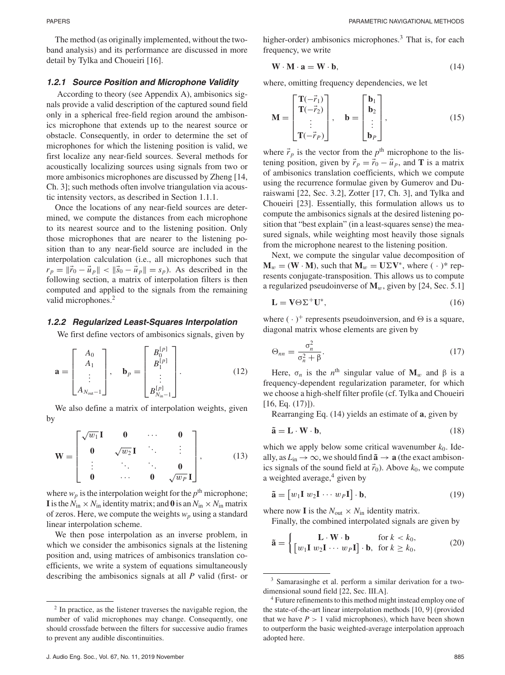The method (as originally implemented, without the twoband analysis) and its performance are discussed in more detail by Tylka and Choueiri [16].

#### *1.2.1 Source Position and Microphone Validity*

According to theory (see Appendix A), ambisonics signals provide a valid description of the captured sound field only in a spherical free-field region around the ambisonics microphone that extends up to the nearest source or obstacle. Consequently, in order to determine the set of microphones for which the listening position is valid, we first localize any near-field sources. Several methods for acoustically localizing sources using signals from two or more ambisonics microphones are discussed by Zheng [14, Ch. 3]; such methods often involve triangulation via acoustic intensity vectors, as described in Section 1.1.1.

Once the locations of any near-field sources are determined, we compute the distances from each microphone to its nearest source and to the listening position. Only those microphones that are nearer to the listening position than to any near-field source are included in the interpolation calculation (i.e., all microphones such that  $r_p = ||\vec{r}_0 - \vec{u}_p|| < ||\vec{s}_0 - \vec{u}_p|| = s_p$ . As described in the following section, a matrix of interpolation filters is then computed and applied to the signals from the remaining valid microphones.<sup>2</sup>

#### *1.2.2 Regularized Least-Squares Interpolation*

We first define vectors of ambisonics signals, given by

$$
\mathbf{a} = \begin{bmatrix} A_0 \\ A_1 \\ \vdots \\ A_{N_{\text{out}}-1} \end{bmatrix}, \quad \mathbf{b}_p = \begin{bmatrix} B_0^{[p]} \\ B_1^{[p]} \\ \vdots \\ B_{N_{\text{in}}-1}^{[p]} \end{bmatrix}.
$$
 (12)

We also define a matrix of interpolation weights, given by

$$
\mathbf{W} = \begin{bmatrix} \sqrt{w_1} \mathbf{I} & \mathbf{0} & \cdots & \mathbf{0} \\ \mathbf{0} & \sqrt{w_2} \mathbf{I} & \ddots & \vdots \\ \vdots & \ddots & \ddots & \mathbf{0} \\ \mathbf{0} & \cdots & \mathbf{0} & \sqrt{w_P} \mathbf{I} \end{bmatrix},
$$
(13)

where  $w_p$  is the interpolation weight for the  $p<sup>th</sup>$  microphone; **I** is the  $N_{\text{in}} \times N_{\text{in}}$  identity matrix; and 0 is an  $N_{\text{in}} \times N_{\text{in}}$  matrix of zeros. Here, we compute the weights  $w_p$  using a standard linear interpolation scheme.

We then pose interpolation as an inverse problem, in which we consider the ambisonics signals at the listening position and, using matrices of ambisonics translation coefficients, we write a system of equations simultaneously describing the ambisonics signals at all *P* valid (first- or higher-order) ambisonics microphones.<sup>3</sup> That is, for each frequency, we write

$$
\mathbf{W} \cdot \mathbf{M} \cdot \mathbf{a} = \mathbf{W} \cdot \mathbf{b},\tag{14}
$$

where, omitting frequency dependencies, we let

$$
\mathbf{M} = \begin{bmatrix} \mathbf{T}(-\vec{r}_1) \\ \mathbf{T}(-\vec{r}_2) \\ \vdots \\ \mathbf{T}(-\vec{r}_P) \end{bmatrix}, \quad \mathbf{b} = \begin{bmatrix} \mathbf{b}_1 \\ \mathbf{b}_2 \\ \vdots \\ \mathbf{b}_P \end{bmatrix}, \tag{15}
$$

where  $\vec{r}_p$  is the vector from the  $p^{\text{th}}$  microphone to the listening position, given by  $\vec{r}_p = \vec{r}_0 - \vec{u}_p$ , and **T** is a matrix of ambisonics translation coefficients, which we compute using the recurrence formulae given by Gumerov and Duraiswami [22, Sec. 3.2], Zotter [17, Ch. 3], and Tylka and Choueiri [23]. Essentially, this formulation allows us to compute the ambisonics signals at the desired listening position that "best explain" (in a least-squares sense) the measured signals, while weighting most heavily those signals from the microphone nearest to the listening position.

Next, we compute the singular value decomposition of  $\mathbf{M}_w = (\mathbf{W} \cdot \mathbf{M})$ , such that  $\mathbf{M}_w = \mathbf{U} \Sigma \mathbf{V}^*$ , where  $(\cdot)^*$  represents conjugate-transposition. This allows us to compute a regularized pseudoinverse of  $M_w$ , given by [24, Sec. 5.1]

$$
\mathbf{L} = \mathbf{V} \Theta \Sigma^{+} \mathbf{U}^{*},\tag{16}
$$

where  $(\cdot)^+$  represents pseudoinversion, and  $\Theta$  is a square, diagonal matrix whose elements are given by

$$
\Theta_{nn} = \frac{\sigma_n^2}{\sigma_n^2 + \beta}.
$$
\n(17)

Here,  $\sigma_n$  is the *n*<sup>th</sup> singular value of  $M_w$  and  $\beta$  is a frequency-dependent regularization parameter, for which we choose a high-shelf filter profile (cf. Tylka and Choueiri  $[16, Eq. (17)]$ .

Rearranging Eq. (14) yields an estimate of **a**, given by

$$
\tilde{\mathbf{a}} = \mathbf{L} \cdot \mathbf{W} \cdot \mathbf{b},\tag{18}
$$

which we apply below some critical wavenumber  $k_0$ . Ideally, as  $L_{\text{in}} \rightarrow \infty$ , we should find  $\tilde{\mathbf{a}} \rightarrow \mathbf{a}$  (the exact ambisonics signals of the sound field at  $\vec{r}_0$ ). Above  $k_0$ , we compute a weighted average,<sup>4</sup> given by

$$
\tilde{\mathbf{a}} = [w_1 \mathbf{I} \ w_2 \mathbf{I} \ \cdots \ w_P \mathbf{I}] \cdot \mathbf{b},\tag{19}
$$

where now **I** is the  $N_{\text{out}} \times N_{\text{in}}$  identity matrix.

Finally, the combined interpolated signals are given by

$$
\tilde{\mathbf{a}} = \begin{cases}\n\mathbf{L} \cdot \mathbf{W} \cdot \mathbf{b} & \text{for } k < k_0, \\
\left[w_1 \mathbf{I} \ w_2 \mathbf{I} \ \cdots \ w_P \mathbf{I}\right] \cdot \mathbf{b}, & \text{for } k \ge k_0,\n\end{cases}
$$
\n(20)

 $2 \text{ In practice, as the listener traverses the navigable region, the}$ number of valid microphones may change. Consequently, one should crossfade between the filters for successive audio frames to prevent any audible discontinuities.

<sup>3</sup> Samarasinghe et al. perform a similar derivation for a twodimensional sound field [22, Sec. III.A].

<sup>4</sup> Future refinements to this method might instead employ one of the state-of-the-art linear interpolation methods [10, 9] (provided that we have  $P > 1$  valid microphones), which have been shown to outperform the basic weighted-average interpolation approach adopted here.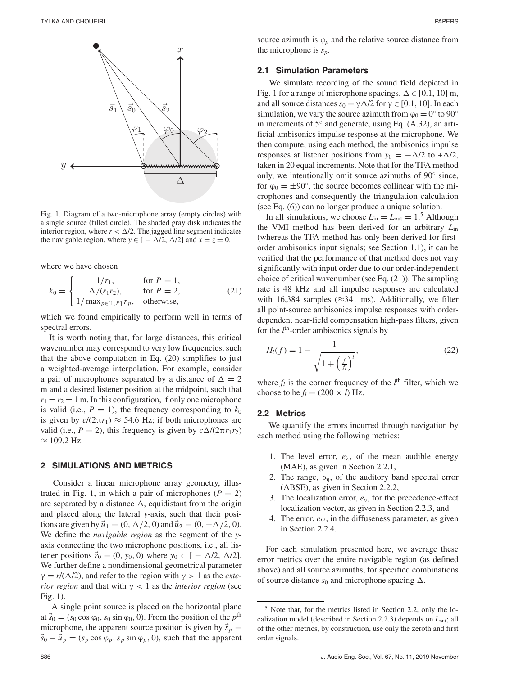

Fig. 1. Diagram of a two-microphone array (empty circles) with a single source (filled circle). The shaded gray disk indicates the interior region, where  $r < \Delta/2$ . The jagged line segment indicates the navigable region, where  $y \in [-\Delta/2, \Delta/2]$  and  $x = z = 0$ .

where we have chosen

$$
k_0 = \begin{cases} 1/r_1, & \text{for } P = 1, \\ \Delta/(r_1 r_2), & \text{for } P = 2, \\ 1/\max_{p \in [1, P]} r_p, & \text{otherwise,} \end{cases}
$$
(21)

which we found empirically to perform well in terms of spectral errors.

It is worth noting that, for large distances, this critical wavenumber may correspond to very low frequencies, such that the above computation in Eq. (20) simplifies to just a weighted-average interpolation. For example, consider a pair of microphones separated by a distance of  $\Delta = 2$ m and a desired listener position at the midpoint, such that  $r_1 = r_2 = 1$  m. In this configuration, if only one microphone is valid (i.e.,  $P = 1$ ), the frequency corresponding to  $k_0$ is given by  $c/(2\pi r_1) \approx 54.6$  Hz; if both microphones are valid (i.e.,  $P = 2$ ), this frequency is given by  $c\Delta/(2\pi r_1 r_2)$  $≈ 109.2$  Hz.

#### **2 SIMULATIONS AND METRICS**

Consider a linear microphone array geometry, illustrated in Fig. 1, in which a pair of microphones  $(P = 2)$ are separated by a distance  $\Delta$ , equidistant from the origin and placed along the lateral *y*-axis, such that their positions are given by  $\vec{u}_1 = (0, \Delta/2, 0)$  and  $\vec{u}_2 = (0, -\Delta/2, 0)$ . We define the *navigable region* as the segment of the *y*axis connecting the two microphone positions, i.e., all listener positions  $\vec{r}_0 = (0, y_0, 0)$  where  $y_0 \in [-\Delta/2, \Delta/2]$ . We further define a nondimensional geometrical parameter  $\gamma = r/(\Delta/2)$ , and refer to the region with  $\gamma > 1$  as the *exterior region* and that with  $\gamma$  < 1 as the *interior region* (see Fig. 1).

A single point source is placed on the horizontal plane at  $\vec{s}_0 = (s_0 \cos \varphi_0, s_0 \sin \varphi_0, 0)$ . From the position of the  $p^{\text{th}}$ microphone, the apparent source position is given by  $\vec{s}_p$  =  $\vec{s}_0 - \vec{u}_p = (s_p \cos \varphi_p, s_p \sin \varphi_p, 0)$ , such that the apparent source azimuth is  $\varphi_p$  and the relative source distance from the microphone is *sp*.

#### **2.1 Simulation Parameters**

We simulate recording of the sound field depicted in Fig. 1 for a range of microphone spacings,  $\Delta \in [0.1, 10]$  m, and all source distances  $s_0 = \gamma \Delta/2$  for  $\gamma \in [0.1, 10]$ . In each simulation, we vary the source azimuth from  $\varphi_0 = 0^\circ$  to  $90^\circ$ in increments of 5◦ and generate, using Eq. (A.32), an artificial ambisonics impulse response at the microphone. We then compute, using each method, the ambisonics impulse responses at listener positions from  $y_0 = -\Delta/2$  to  $+\Delta/2$ , taken in 20 equal increments. Note that for the TFA method only, we intentionally omit source azimuths of 90◦ since, for  $\varphi_0 = \pm 90^\circ$ , the source becomes collinear with the microphones and consequently the triangulation calculation (see Eq. (6)) can no longer produce a unique solution.

In all simulations, we choose  $L_{\text{in}} = L_{\text{out}} = 1.5$  Although the VMI method has been derived for an arbitrary *L*in (whereas the TFA method has only been derived for firstorder ambisonics input signals; see Section 1.1), it can be verified that the performance of that method does not vary significantly with input order due to our order-independent choice of critical wavenumber (see Eq. (21)). The sampling rate is 48 kHz and all impulse responses are calculated with 16,384 samples ( $\approx$ 341 ms). Additionally, we filter all point-source ambisonics impulse responses with orderdependent near-field compensation high-pass filters, given for the *l*<sup>th</sup>-order ambisonics signals by

$$
H_l(f) = 1 - \frac{1}{\sqrt{1 + \left(\frac{f}{f_l}\right)^l}},\tag{22}
$$

where  $f_l$  is the corner frequency of the  $l^{\text{th}}$  filter, which we choose to be  $f_l = (200 \times l)$  Hz.

#### **2.2 Metrics**

We quantify the errors incurred through navigation by each method using the following metrics:

- 1. The level error,  $e_{\lambda}$ , of the mean audible energy (MAE), as given in Section 2.2.1,
- 2. The range,  $\rho_n$ , of the auditory band spectral error (ABSE), as given in Section 2.2.2,
- 3. The localization error, *e*ν, for the precedence-effect localization vector, as given in Section 2.2.3, and
- 4. The error,  $e_{\Psi}$ , in the diffuseness parameter, as given in Section 2.2.4.

For each simulation presented here, we average these error metrics over the entire navigable region (as defined above) and all source azimuths, for specified combinations of source distance  $s_0$  and microphone spacing  $\Delta$ .

<sup>5</sup> Note that, for the metrics listed in Section 2.2, only the localization model (described in Section 2.2.3) depends on *L*out; all of the other metrics, by construction, use only the zeroth and first order signals.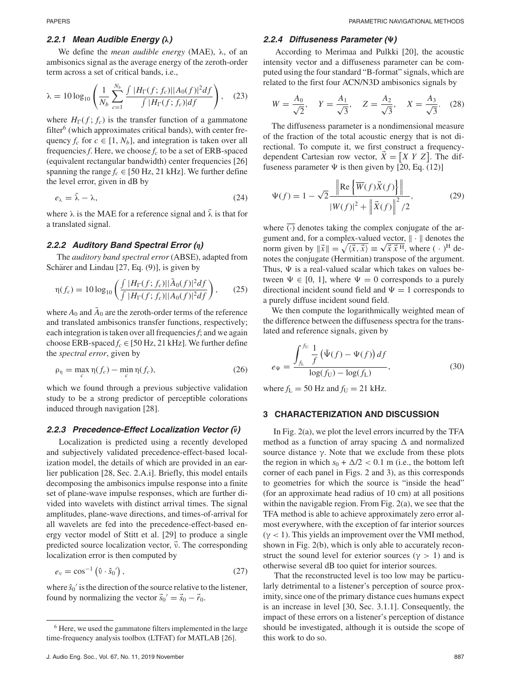## *2.2.1 Mean Audible Energy (λ)*

We define the *mean audible energy* (MAE), λ, of an ambisonics signal as the average energy of the zeroth-order term across a set of critical bands, i.e.,

$$
\lambda = 10 \log_{10} \left( \frac{1}{N_b} \sum_{c=1}^{N_b} \frac{\int |H_{\Gamma}(f; f_c)| |A_0(f)|^2 df}{\int |H_{\Gamma}(f; f_c)| df} \right), \quad (23)
$$

where  $H_{\Gamma}(f; f_c)$  is the transfer function of a gammatone  $f\text{filter}^6$  (which approximates critical bands), with center frequency  $f_c$  for  $c \in [1, N_b]$ , and integration is taken over all frequencies  $f$ . Here, we choose  $f_c$  to be a set of ERB-spaced (equivalent rectangular bandwidth) center frequencies [26] spanning the range  $f_c \in [50 \text{ Hz}, 21 \text{ kHz}]$ . We further define the level error, given in dB by

$$
e_{\lambda} = \tilde{\lambda} - \lambda, \tag{24}
$$

where  $\lambda$  is the MAE for a reference signal and  $\tilde{\lambda}$  is that for a translated signal.

## *2.2.2 Auditory Band Spectral Error (η)*

The *auditory band spectral error* (ABSE), adapted from Schärer and Lindau  $[27, Eq. (9)]$ , is given by

$$
\eta(f_c) = 10 \log_{10} \left( \frac{\int |H_{\Gamma}(f; f_c)| |\tilde{A}_0(f)|^2 df}{\int |H_{\Gamma}(f; f_c)| |A_0(f)|^2 df} \right), \qquad (25)
$$

where  $A_0$  and  $\tilde{A}_0$  are the zeroth-order terms of the reference and translated ambisonics transfer functions, respectively; each integration is taken over all frequencies*f*; and we again choose ERB-spaced  $f_c \in [50 \text{ Hz}, 21 \text{ kHz}]$ . We further define the *spectral error*, given by

$$
\rho_{\eta} = \max_{c} \eta(f_c) - \min_{c} \eta(f_c), \qquad (26)
$$

which we found through a previous subjective validation study to be a strong predictor of perceptible colorations induced through navigation [28].

# *2.2.3 Precedence-Effect Localization Vector (ν***-***)*

Localization is predicted using a recently developed and subjectively validated precedence-effect-based localization model, the details of which are provided in an earlier publication [28, Sec. 2.A.i]. Briefly, this model entails decomposing the ambisonics impulse response into a finite set of plane-wave impulse responses, which are further divided into wavelets with distinct arrival times. The signal amplitudes, plane-wave directions, and times-of-arrival for all wavelets are fed into the precedence-effect-based energy vector model of Stitt et al. [29] to produce a single predicted source localization vector,  $\vec{v}$ . The corresponding localization error is then computed by

$$
e_{v} = \cos^{-1}(\hat{v} \cdot \hat{s}_{0}'), \qquad (27)
$$

where  $\hat{s}_0$ <sup>'</sup> is the direction of the source relative to the listener, found by normalizing the vector  $\vec{s}_0' = \vec{s}_0 - \vec{r}_0$ .

## *2.2.4 Diffuseness Parameter ()*

According to Merimaa and Pulkki [20], the acoustic intensity vector and a diffuseness parameter can be computed using the four standard "B-format" signals, which are related to the first four ACN/N3D ambisonics signals by

$$
W = \frac{A_0}{\sqrt{2}}, \quad Y = \frac{A_1}{\sqrt{3}}, \quad Z = \frac{A_2}{\sqrt{3}}, \quad X = \frac{A_3}{\sqrt{3}}.
$$
 (28)

The diffuseness parameter is a nondimensional measure of the fraction of the total acoustic energy that is not directional. To compute it, we first construct a frequencydependent Cartesian row vector,  $\dot{X} = \begin{bmatrix} X & Y & Z \end{bmatrix}$ . The diffuseness parameter  $\Psi$  is then given by [20, Eq. (12)]

$$
\Psi(f) = 1 - \sqrt{2} \frac{\left\| \text{Re} \left\{ \overline{W}(f) \vec{X}(f) \right\} \right\|}{|W(f)|^2 + \left\| \vec{X}(f) \right\|^2 / 2},
$$
\n(29)

where  $\overline{(\cdot)}$  denotes taking the complex conjugate of the argument and, for a complex-valued vector,  $\|\cdot\|$  denotes the norm given by  $\|\vec{x}\| = \sqrt{\langle \vec{x}, \vec{x} \rangle} \equiv \sqrt{\vec{x} \cdot \vec{x}^{\text{H}}}$ , where (· )<sup>H</sup> denotes the conjugate (Hermitian) transpose of the argument. Thus,  $\Psi$  is a real-valued scalar which takes on values between  $\Psi \in [0, 1]$ , where  $\Psi = 0$  corresponds to a purely directional incident sound field and  $\Psi = 1$  corresponds to a purely diffuse incident sound field.

We then compute the logarithmically weighted mean of the difference between the diffuseness spectra for the translated and reference signals, given by

$$
e_{\Psi} = \frac{\int_{f_{L}}^{f_{U}} \frac{1}{f} (\tilde{\Psi}(f) - \Psi(f)) df}{\log(f_{U}) - \log(f_{L})},
$$
\n(30)

where  $f_L = 50$  Hz and  $f_U = 21$  kHz.

#### **3 CHARACTERIZATION AND DISCUSSION**

In Fig. 2(a), we plot the level errors incurred by the TFA method as a function of array spacing  $\Delta$  and normalized source distance  $\gamma$ . Note that we exclude from these plots the region in which  $s_0 + \Delta/2 < 0.1$  m (i.e., the bottom left corner of each panel in Figs. 2 and 3), as this corresponds to geometries for which the source is "inside the head" (for an approximate head radius of 10 cm) at all positions within the navigable region. From Fig. 2(a), we see that the TFA method is able to achieve approximately zero error almost everywhere, with the exception of far interior sources  $(\gamma < 1)$ . This yields an improvement over the VMI method, shown in Fig. 2(b), which is only able to accurately reconstruct the sound level for exterior sources ( $\gamma > 1$ ) and is otherwise several dB too quiet for interior sources.

That the reconstructed level is too low may be particularly detrimental to a listener's perception of source proximity, since one of the primary distance cues humans expect is an increase in level [30, Sec. 3.1.1]. Consequently, the impact of these errors on a listener's perception of distance should be investigated, although it is outside the scope of this work to do so.

<sup>6</sup> Here, we used the gammatone filters implemented in the large time-frequency analysis toolbox (LTFAT) for MATLAB [26].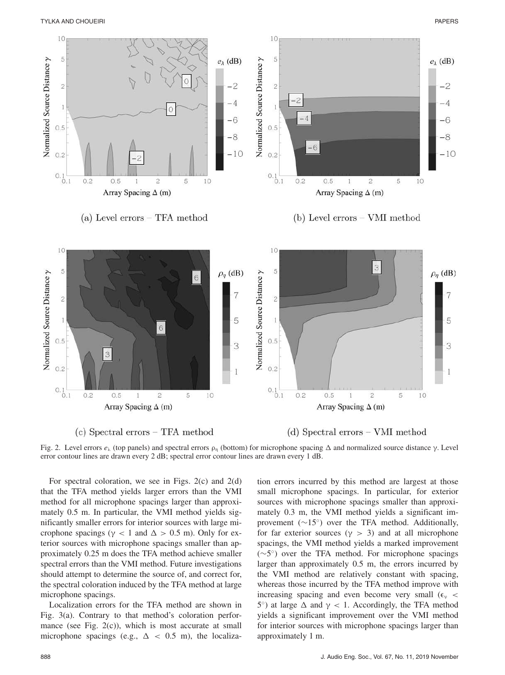

(c) Spectral errors – TFA method

(d) Spectral errors – VMI method



For spectral coloration, we see in Figs. 2(c) and 2(d) that the TFA method yields larger errors than the VMI method for all microphone spacings larger than approximately 0.5 m. In particular, the VMI method yields significantly smaller errors for interior sources with large microphone spacings ( $\gamma$  < 1 and  $\Delta$  > 0.5 m). Only for exterior sources with microphone spacings smaller than approximately 0.25 m does the TFA method achieve smaller spectral errors than the VMI method. Future investigations should attempt to determine the source of, and correct for, the spectral coloration induced by the TFA method at large microphone spacings.

Localization errors for the TFA method are shown in Fig. 3(a). Contrary to that method's coloration performance (see Fig. 2(c)), which is most accurate at small microphone spacings (e.g.,  $\Delta$  < 0.5 m), the localiza-

tion errors incurred by this method are largest at those small microphone spacings. In particular, for exterior sources with microphone spacings smaller than approximately 0.3 m, the VMI method yields a significant improvement  $(\sim 15°)$  over the TFA method. Additionally, for far exterior sources ( $\gamma > 3$ ) and at all microphone spacings, the VMI method yields a marked improvement (∼5◦) over the TFA method. For microphone spacings larger than approximately 0.5 m, the errors incurred by the VMI method are relatively constant with spacing, whereas those incurred by the TFA method improve with increasing spacing and even become very small  $(\epsilon_{v}$  < 5°) at large  $\Delta$  and  $\gamma$  < 1. Accordingly, the TFA method yields a significant improvement over the VMI method for interior sources with microphone spacings larger than approximately 1 m.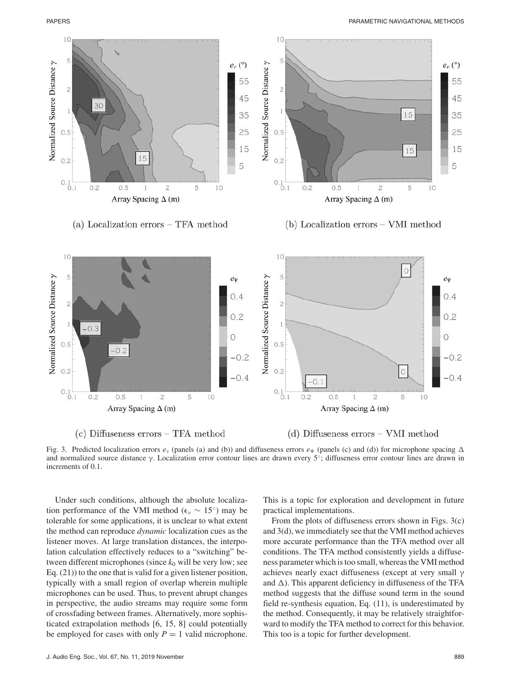

(c) Diffuseness  $\text{errors}-\text{TFA}\ \text{method}$ 

(d) Diffuseness  $\text{errors} - \text{VMI method}$ 

Fig. 3. Predicted localization errors  $e_v$  (panels (a) and (b)) and diffuseness errors  $e_v$  (panels (c) and (d)) for microphone spacing  $\Delta$ and normalized source distance γ. Localization error contour lines are drawn every 5◦; diffuseness error contour lines are drawn in increments of 0.1.

Under such conditions, although the absolute localization performance of the VMI method ( $\epsilon$ <sub>v</sub> ~ 15<sup>°</sup>) may be tolerable for some applications, it is unclear to what extent the method can reproduce *dynamic* localization cues as the listener moves. At large translation distances, the interpolation calculation effectively reduces to a "switching" between different microphones (since  $k_0$  will be very low; see Eq. (21)) to the one that is valid for a given listener position, typically with a small region of overlap wherein multiple microphones can be used. Thus, to prevent abrupt changes in perspective, the audio streams may require some form of crossfading between frames. Alternatively, more sophisticated extrapolation methods [6, 15, 8] could potentially be employed for cases with only  $P = 1$  valid microphone.

This is a topic for exploration and development in future practical implementations.

From the plots of diffuseness errors shown in Figs. 3(c) and 3(d), we immediately see that the VMI method achieves more accurate performance than the TFA method over all conditions. The TFA method consistently yields a diffuseness parameter which is too small, whereas the VMI method achieves nearly exact diffuseness (except at very small γ and  $\Delta$ ). This apparent deficiency in diffuseness of the TFA method suggests that the diffuse sound term in the sound field re-synthesis equation, Eq. (11), is underestimated by the method. Consequently, it may be relatively straightforward to modify the TFA method to correct for this behavior. This too is a topic for further development.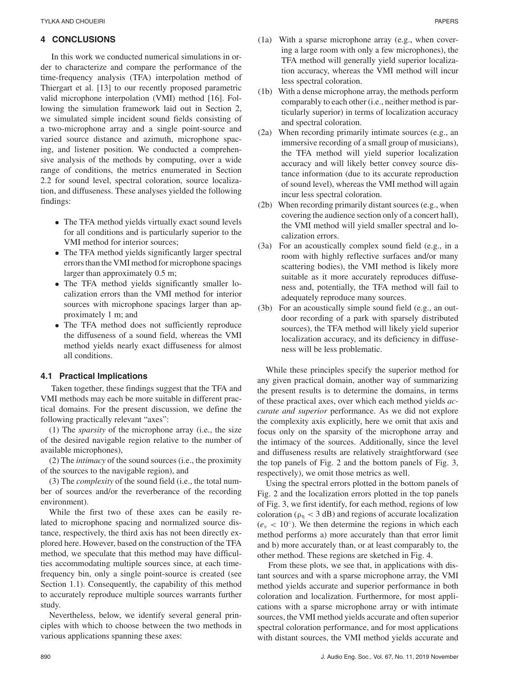## **4 CONCLUSIONS**

In this work we conducted numerical simulations in order to characterize and compare the performance of the time-frequency analysis (TFA) interpolation method of Thiergart et al. [13] to our recently proposed parametric valid microphone interpolation (VMI) method [16]. Following the simulation framework laid out in Section 2, we simulated simple incident sound fields consisting of a two-microphone array and a single point-source and varied source distance and azimuth, microphone spacing, and listener position. We conducted a comprehensive analysis of the methods by computing, over a wide range of conditions, the metrics enumerated in Section 2.2 for sound level, spectral coloration, source localization, and diffuseness. These analyses yielded the following findings:

- The TFA method yields virtually exact sound levels for all conditions and is particularly superior to the VMI method for interior sources;
- The TFA method yields significantly larger spectral errors than the VMI method for microphone spacings larger than approximately 0.5 m;
- The TFA method yields significantly smaller localization errors than the VMI method for interior sources with microphone spacings larger than approximately 1 m; and
- The TFA method does not sufficiently reproduce the diffuseness of a sound field, whereas the VMI method yields nearly exact diffuseness for almost all conditions.

# **4.1 Practical Implications**

Taken together, these findings suggest that the TFA and VMI methods may each be more suitable in different practical domains. For the present discussion, we define the following practically relevant "axes":

(1) The *sparsity* of the microphone array (i.e., the size of the desired navigable region relative to the number of available microphones),

(2) The *intimacy* of the sound sources (i.e., the proximity of the sources to the navigable region), and

(3) The *complexity* of the sound field (i.e., the total number of sources and/or the reverberance of the recording environment).

While the first two of these axes can be easily related to microphone spacing and normalized source distance, respectively, the third axis has not been directly explored here. However, based on the construction of the TFA method, we speculate that this method may have difficulties accommodating multiple sources since, at each timefrequency bin, only a single point-source is created (see Section 1.1). Consequently, the capability of this method to accurately reproduce multiple sources warrants further study.

Nevertheless, below, we identify several general principles with which to choose between the two methods in various applications spanning these axes:

- (1a) With a sparse microphone array (e.g., when covering a large room with only a few microphones), the TFA method will generally yield superior localization accuracy, whereas the VMI method will incur less spectral coloration.
- (1b) With a dense microphone array, the methods perform comparably to each other (i.e., neither method is particularly superior) in terms of localization accuracy and spectral coloration.
- (2a) When recording primarily intimate sources (e.g., an immersive recording of a small group of musicians), the TFA method will yield superior localization accuracy and will likely better convey source distance information (due to its accurate reproduction of sound level), whereas the VMI method will again incur less spectral coloration.
- (2b) When recording primarily distant sources (e.g., when covering the audience section only of a concert hall), the VMI method will yield smaller spectral and localization errors.
- (3a) For an acoustically complex sound field (e.g., in a room with highly reflective surfaces and/or many scattering bodies), the VMI method is likely more suitable as it more accurately reproduces diffuseness and, potentially, the TFA method will fail to adequately reproduce many sources.
- (3b) For an acoustically simple sound field (e.g., an outdoor recording of a park with sparsely distributed sources), the TFA method will likely yield superior localization accuracy, and its deficiency in diffuseness will be less problematic.

While these principles specify the superior method for any given practical domain, another way of summarizing the present results is to determine the domains, in terms of these practical axes, over which each method yields *accurate and superior* performance. As we did not explore the complexity axis explicitly, here we omit that axis and focus only on the sparsity of the microphone array and the intimacy of the sources. Additionally, since the level and diffuseness results are relatively straightforward (see the top panels of Fig. 2 and the bottom panels of Fig. 3, respectively), we omit those metrics as well.

Using the spectral errors plotted in the bottom panels of Fig. 2 and the localization errors plotted in the top panels of Fig. 3, we first identify, for each method, regions of low coloration ( $\rho_n < 3$  dB) and regions of accurate localization  $(e<sub>v</sub> < 10<sup>°</sup>)$ . We then determine the regions in which each method performs a) more accurately than that error limit and b) more accurately than, or at least comparably to, the other method. These regions are sketched in Fig. 4.

From these plots, we see that, in applications with distant sources and with a sparse microphone array, the VMI method yields accurate and superior performance in both coloration and localization. Furthermore, for most applications with a sparse microphone array or with intimate sources, the VMI method yields accurate and often superior spectral coloration performance, and for most applications with distant sources, the VMI method yields accurate and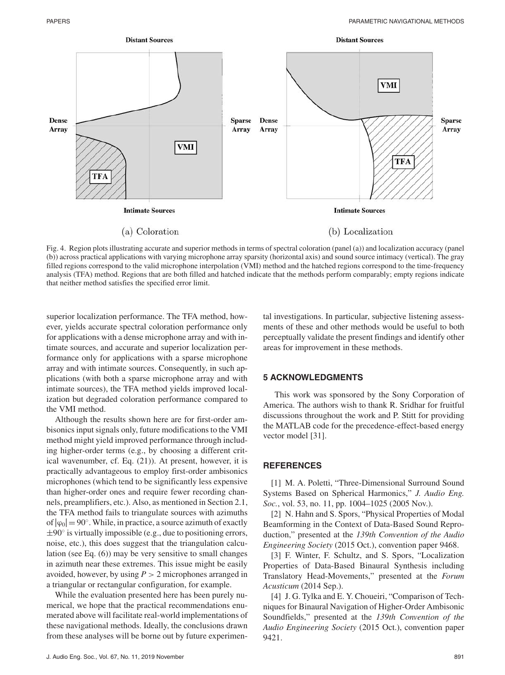

Fig. 4. Region plots illustrating accurate and superior methods in terms of spectral coloration (panel (a)) and localization accuracy (panel (b)) across practical applications with varying microphone array sparsity (horizontal axis) and sound source intimacy (vertical). The gray filled regions correspond to the valid microphone interpolation (VMI) method and the hatched regions correspond to the time-frequency analysis (TFA) method. Regions that are both filled and hatched indicate that the methods perform comparably; empty regions indicate that neither method satisfies the specified error limit.

superior localization performance. The TFA method, however, yields accurate spectral coloration performance only for applications with a dense microphone array and with intimate sources, and accurate and superior localization performance only for applications with a sparse microphone array and with intimate sources. Consequently, in such applications (with both a sparse microphone array and with intimate sources), the TFA method yields improved localization but degraded coloration performance compared to the VMI method.

Although the results shown here are for first-order ambisonics input signals only, future modifications to the VMI method might yield improved performance through including higher-order terms (e.g., by choosing a different critical wavenumber, cf. Eq. (21)). At present, however, it is practically advantageous to employ first-order ambisonics microphones (which tend to be significantly less expensive than higher-order ones and require fewer recording channels, preamplifiers, etc.). Also, as mentioned in Section 2.1, the TFA method fails to triangulate sources with azimuths of  $|\varphi_0| = 90^\circ$ . While, in practice, a source azimuth of exactly  $\pm 90^\circ$  is virtually impossible (e.g., due to positioning errors, noise, etc.), this does suggest that the triangulation calculation (see Eq. (6)) may be very sensitive to small changes in azimuth near these extremes. This issue might be easily avoided, however, by using  $P > 2$  microphones arranged in a triangular or rectangular configuration, for example.

While the evaluation presented here has been purely numerical, we hope that the practical recommendations enumerated above will facilitate real-world implementations of these navigational methods. Ideally, the conclusions drawn from these analyses will be borne out by future experimen-

J. Audio Eng. Soc., Vol. 67, No. 11, 2019 November 891

tal investigations. In particular, subjective listening assessments of these and other methods would be useful to both perceptually validate the present findings and identify other areas for improvement in these methods.

## **5 ACKNOWLEDGMENTS**

This work was sponsored by the Sony Corporation of America. The authors wish to thank R. Sridhar for fruitful discussions throughout the work and P. Stitt for providing the MATLAB code for the precedence-effect-based energy vector model [31].

#### **REFERENCES**

[1] M. A. Poletti, "Three-Dimensional Surround Sound Systems Based on Spherical Harmonics," *J. Audio Eng. Soc.*, vol. 53, no. 11, pp. 1004–1025 (2005 Nov.).

[2] N. Hahn and S. Spors, "Physical Properties of Modal Beamforming in the Context of Data-Based Sound Reproduction," presented at the *139th Convention of the Audio Engineering Society* (2015 Oct.), convention paper 9468.

[3] F. Winter, F. Schultz, and S. Spors, "Localization Properties of Data-Based Binaural Synthesis including Translatory Head-Movements," presented at the *Forum Acusticum* (2014 Sep.).

[4] J. G. Tylka and E. Y. Choueiri, "Comparison of Techniques for Binaural Navigation of Higher-Order Ambisonic Soundfields," presented at the *139th Convention of the Audio Engineering Society* (2015 Oct.), convention paper 9421.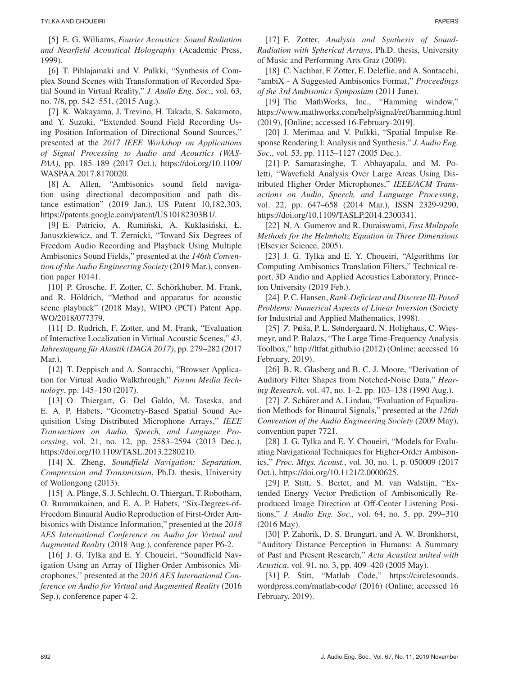[5] E. G. Williams, *Fourier Acoustics: Sound Radiation and Nearfield Acoustical Holography* (Academic Press, 1999).

[6] T. Pihlajamaki and V. Pulkki, "Synthesis of Complex Sound Scenes with Transformation of Recorded Spatial Sound in Virtual Reality," *J. Audio Eng. Soc.*, vol. 63, no. 7/8, pp. 542–551, (2015 Aug.).

[7] K. Wakayama, J. Trevino, H. Takada, S. Sakamoto, and Y. Suzuki, "Extended Sound Field Recording Using Position Information of Directional Sound Sources," presented at the *2017 IEEE Workshop on Applications of Signal Processing to Audio and Acoustics (WAS-PAA)*, pp. 185–189 (2017 Oct.), https://doi.org/10.1109/ WASPAA.2017.8170020.

[8] A. Allen, "Ambisonics sound field navigation using directional decomposition and path distance estimation" (2019 Jan.), US Patent 10,182,303, https://patents.google.com/patent/US10182303B1/.

[9] E. Patricio, A. Rumiński, A. Kuklasiński, Ł. Januszkiewicz, and T. Zernicki, "Toward Six Degrees of ˙ Freedom Audio Recording and Playback Using Multiple Ambisonics Sound Fields," presented at the *146th Convention of the Audio Engineering Society* (2019 Mar.), convention paper 10141.

[10] P. Grosche, F. Zotter, C. Schörkhuber, M. Frank, and R. Höldrich, "Method and apparatus for acoustic scene playback" (2018 May), WIPO (PCT) Patent App. WO/2018/077379.

[11] D. Rudrich, F. Zotter, and M. Frank, "Evaluation of Interactive Localization in Virtual Acoustic Scenes," *43. Jahrestagung fur Akustik (DAGA 2017) ¨* , pp. 279–282 (2017 Mar.).

[12] T. Deppisch and A. Sontacchi, "Browser Application for Virtual Audio Walkthrough," *Forum Media Technology*, pp. 145–150 (2017).

[13] O. Thiergart, G. Del Galdo, M. Taseska, and E. A. P. Habets, "Geometry-Based Spatial Sound Acquisition Using Distributed Microphone Arrays," *IEEE Transactions on Audio, Speech, and Language Processing*, vol. 21, no. 12, pp. 2583–2594 (2013 Dec.), https://doi.org/10.1109/TASL.2013.2280210.

[14] X. Zheng, *Soundfield Navigation: Separation, Compression and Transmission*, Ph.D. thesis, University of Wollongong (2013).

[15] A. Plinge, S. J. Schlecht, O. Thiergart, T. Robotham, O. Rummukainen, and E. A. P. Habets, "Six-Degrees-of-Freedom Binaural Audio Reproduction of First-Order Ambisonics with Distance Information," presented at the *2018 AES International Conference on Audio for Virtual and Augmented Reality* (2018 Aug.), conference paper P6-2.

[16] J. G. Tylka and E. Y. Choueiri, "Soundfield Navigation Using an Array of Higher-Order Ambisonics Microphones," presented at the *2016 AES International Conference on Audio for Virtual and Augmented Reality* (2016 Sep.), conference paper 4-2.

[17] F. Zotter, *Analysis and Synthesis of Sound-Radiation with Spherical Arrays*, Ph.D. thesis, University of Music and Performing Arts Graz (2009).

[18] C. Nachbar, F. Zotter, E. Deleflie, and A. Sontacchi, "ambiX - A Suggested Ambisonics Format," *Proceedings of the 3rd Ambisonics Symposium* (2011 June).

[19] The MathWorks, Inc., "Hamming window," https://www.mathworks.com/help/signal/ref/hamming.html (2019), [Online; accessed 16-February-2019].

[20] J. Merimaa and V. Pulkki, "Spatial Impulse Response Rendering I: Analysis and Synthesis," *J. Audio Eng. Soc.*, vol. 53, pp. 1115–1127 (2005 Dec.).

[21] P. Samarasinghe, T. Abhayapala, and M. Poletti, "Wavefield Analysis Over Large Areas Using Distributed Higher Order Microphones," *IEEE/ACM Transactions on Audio, Speech, and Language Processing*, vol. 22, pp. 647–658 (2014 Mar.), ISSN 2329-9290, https://doi.org/10.1109/TASLP.2014.2300341.

[22] N. A. Gumerov and R. Duraiswami, *Fast Multipole Methods for the Helmholtz Equation in Three Dimensions* (Elsevier Science, 2005).

[23] J. G. Tylka and E. Y. Choueiri, "Algorithms for Computing Ambisonics Translation Filters," Technical report, 3D Audio and Applied Acoustics Laboratory, Princeton University (2019 Feb.).

[24] P. C. Hansen, *Rank-Deficient and Discrete Ill-Posed Problems: Numerical Aspects of Linear Inversion* (Society for Industrial and Applied Mathematics, 1998).

[25] Z. Průša, P. L. Søndergaard, N. Holighaus, C. Wiesmeyr, and P. Balazs, "The Large Time-Frequency Analysis Toolbox," http://ltfat.github.io (2012) (Online; accessed 16 February, 2019).

[26] B. R. Glasberg and B. C. J. Moore, "Derivation of Auditory Filter Shapes from Notched-Noise Data," *Hearing Research*, vol. 47, no. 1–2, pp. 103–138 (1990 Aug.).

[27] Z. Schärer and A. Lindau, "Evaluation of Equalization Methods for Binaural Signals," presented at the *126th Convention of the Audio Engineering Society* (2009 May), convention paper 7721.

[28] J. G. Tylka and E. Y. Choueiri, "Models for Evaluating Navigational Techniques for Higher-Order Ambisonics," *Proc. Mtgs. Acoust.*, vol. 30, no. 1, p. 050009 (2017 Oct.), https://doi.org/10.1121/2.0000625.

[29] P. Stitt, S. Bertet, and M. van Walstijn, "Extended Energy Vector Prediction of Ambisonically Reproduced Image Direction at Off-Center Listening Positions," *J. Audio Eng. Soc.*, vol. 64, no. 5, pp. 299–310 (2016 May).

[30] P. Zahorik, D. S. Brungart, and A. W. Bronkhorst, "Auditory Distance Perception in Humans: A Summary of Past and Present Research," *Acta Acustica united with Acustica*, vol. 91, no. 3, pp. 409–420 (2005 May).

[31] P. Stitt, "Matlab Code," https://circlesounds. wordpress.com/matlab-code/ (2016) (Online; accessed 16 February, 2019).